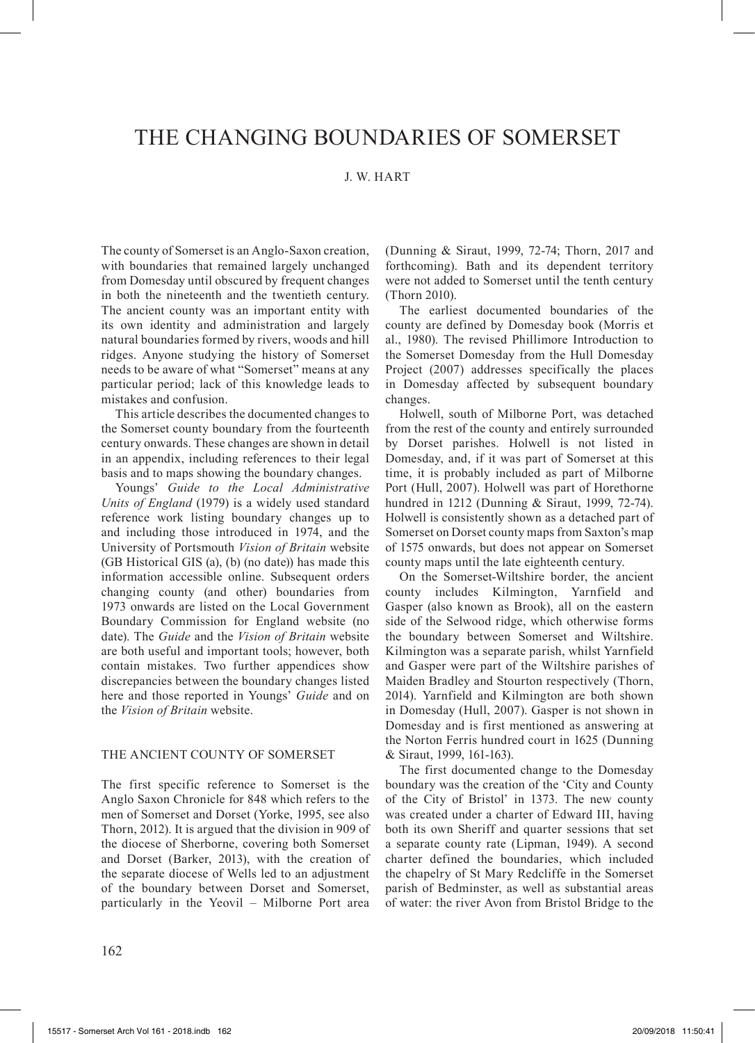## J. W. HART

The county of Somerset is an Anglo-Saxon creation, with boundaries that remained largely unchanged from Domesday until obscured by frequent changes in both the nineteenth and the twentieth century. The ancient county was an important entity with its own identity and administration and largely natural boundaries formed by rivers, woods and hill ridges. Anyone studying the history of Somerset needs to be aware of what "Somerset" means at any particular period; lack of this knowledge leads to mistakes and confusion.

This article describes the documented changes to the Somerset county boundary from the fourteenth century onwards. These changes are shown in detail in an appendix, including references to their legal basis and to maps showing the boundary changes.

Youngs' *Guide to the Local Administrative Units of England* (1979) is a widely used standard reference work listing boundary changes up to and including those introduced in 1974, and the University of Portsmouth *Vision of Britain* website (GB Historical GIS (a), (b) (no date)) has made this information accessible online. Subsequent orders changing county (and other) boundaries from 1973 onwards are listed on the Local Government Boundary Commission for England website (no date). The *Guide* and the *Vision of Britain* website are both useful and important tools; however, both contain mistakes. Two further appendices show discrepancies between the boundary changes listed here and those reported in Youngs' *Guide* and on the *Vision of Britain* website.

## THE ANCIENT COUNTY OF SOMERSET

The first specific reference to Somerset is the Anglo Saxon Chronicle for 848 which refers to the men of Somerset and Dorset (Yorke, 1995, see also Thorn, 2012). It is argued that the division in 909 of the diocese of Sherborne, covering both Somerset and Dorset (Barker, 2013), with the creation of the separate diocese of Wells led to an adjustment of the boundary between Dorset and Somerset, particularly in the Yeovil – Milborne Port area

(Dunning & Siraut, 1999, 72-74; Thorn, 2017 and forthcoming). Bath and its dependent territory were not added to Somerset until the tenth century (Thorn 2010).

The earliest documented boundaries of the county are defined by Domesday book (Morris et al., 1980). The revised Phillimore Introduction to the Somerset Domesday from the Hull Domesday Project (2007) addresses specifically the places in Domesday affected by subsequent boundary changes.

Holwell, south of Milborne Port, was detached from the rest of the county and entirely surrounded by Dorset parishes. Holwell is not listed in Domesday, and, if it was part of Somerset at this time, it is probably included as part of Milborne Port (Hull, 2007). Holwell was part of Horethorne hundred in 1212 (Dunning & Siraut, 1999, 72-74). Holwell is consistently shown as a detached part of Somerset on Dorset county maps from Saxton's map of 1575 onwards, but does not appear on Somerset county maps until the late eighteenth century.

On the Somerset-Wiltshire border, the ancient county includes Kilmington, Yarnfield and Gasper (also known as Brook), all on the eastern side of the Selwood ridge, which otherwise forms the boundary between Somerset and Wiltshire. Kilmington was a separate parish, whilst Yarnfield and Gasper were part of the Wiltshire parishes of Maiden Bradley and Stourton respectively (Thorn, 2014). Yarnfield and Kilmington are both shown in Domesday (Hull, 2007). Gasper is not shown in Domesday and is first mentioned as answering at the Norton Ferris hundred court in 1625 (Dunning & Siraut, 1999, 161-163).

The first documented change to the Domesday boundary was the creation of the 'City and County of the City of Bristol' in 1373. The new county was created under a charter of Edward III, having both its own Sheriff and quarter sessions that set a separate county rate (Lipman, 1949). A second charter defined the boundaries, which included the chapelry of St Mary Redcliffe in the Somerset parish of Bedminster, as well as substantial areas of water: the river Avon from Bristol Bridge to the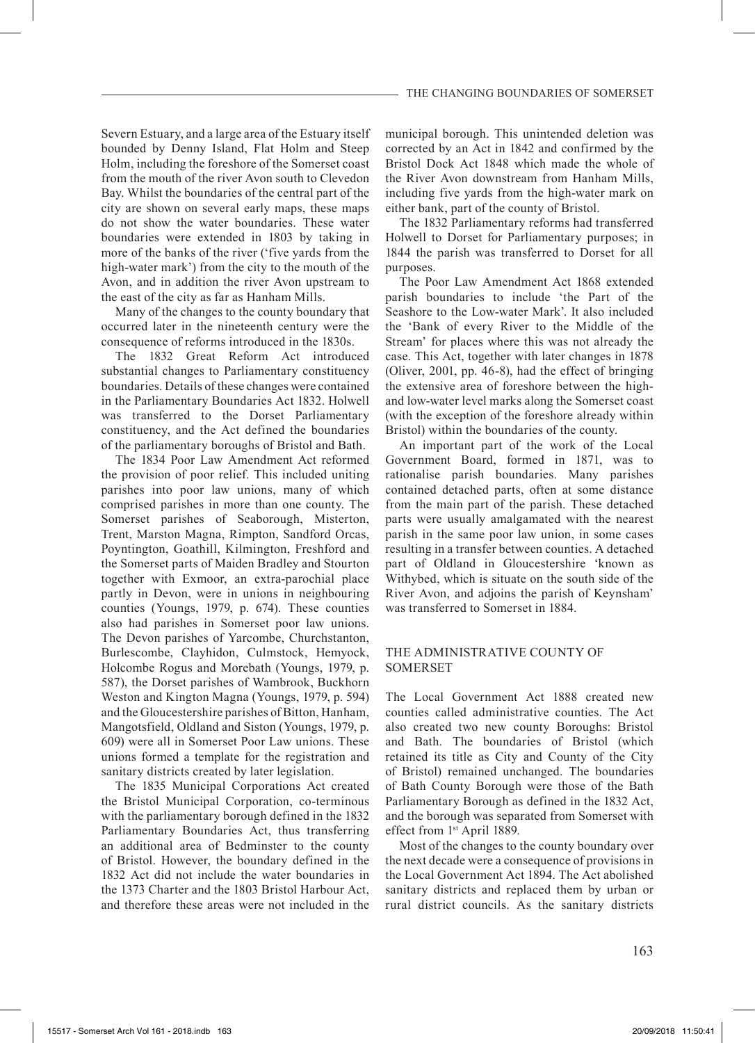Severn Estuary, and a large area of the Estuary itself bounded by Denny Island, Flat Holm and Steep Holm, including the foreshore of the Somerset coast from the mouth of the river Avon south to Clevedon Bay. Whilst the boundaries of the central part of the city are shown on several early maps, these maps do not show the water boundaries. These water boundaries were extended in 1803 by taking in more of the banks of the river ('five yards from the high-water mark') from the city to the mouth of the Avon, and in addition the river Avon upstream to the east of the city as far as Hanham Mills.

Many of the changes to the county boundary that occurred later in the nineteenth century were the consequence of reforms introduced in the 1830s.

The 1832 Great Reform Act introduced substantial changes to Parliamentary constituency boundaries. Details of these changes were contained in the Parliamentary Boundaries Act 1832. Holwell was transferred to the Dorset Parliamentary constituency, and the Act defined the boundaries of the parliamentary boroughs of Bristol and Bath.

The 1834 Poor Law Amendment Act reformed the provision of poor relief. This included uniting parishes into poor law unions, many of which comprised parishes in more than one county. The Somerset parishes of Seaborough, Misterton, Trent, Marston Magna, Rimpton, Sandford Orcas, Poyntington, Goathill, Kilmington, Freshford and the Somerset parts of Maiden Bradley and Stourton together with Exmoor, an extra-parochial place partly in Devon, were in unions in neighbouring counties (Youngs, 1979, p. 674). These counties also had parishes in Somerset poor law unions. The Devon parishes of Yarcombe, Churchstanton, Burlescombe, Clayhidon, Culmstock, Hemyock, Holcombe Rogus and Morebath (Youngs, 1979, p. 587), the Dorset parishes of Wambrook, Buckhorn Weston and Kington Magna (Youngs, 1979, p. 594) and the Gloucestershire parishes of Bitton, Hanham, Mangotsfield, Oldland and Siston (Youngs, 1979, p. 609) were all in Somerset Poor Law unions. These unions formed a template for the registration and sanitary districts created by later legislation.

The 1835 Municipal Corporations Act created the Bristol Municipal Corporation, co-terminous with the parliamentary borough defined in the 1832 Parliamentary Boundaries Act, thus transferring an additional area of Bedminster to the county of Bristol. However, the boundary defined in the 1832 Act did not include the water boundaries in the 1373 Charter and the 1803 Bristol Harbour Act, and therefore these areas were not included in the

municipal borough. This unintended deletion was corrected by an Act in 1842 and confirmed by the Bristol Dock Act 1848 which made the whole of the River Avon downstream from Hanham Mills, including five yards from the high-water mark on either bank, part of the county of Bristol.

The 1832 Parliamentary reforms had transferred Holwell to Dorset for Parliamentary purposes; in 1844 the parish was transferred to Dorset for all purposes.

The Poor Law Amendment Act 1868 extended parish boundaries to include 'the Part of the Seashore to the Low-water Mark'. It also included the 'Bank of every River to the Middle of the Stream' for places where this was not already the case. This Act, together with later changes in 1878 (Oliver, 2001, pp. 46-8), had the effect of bringing the extensive area of foreshore between the highand low-water level marks along the Somerset coast (with the exception of the foreshore already within Bristol) within the boundaries of the county.

An important part of the work of the Local Government Board, formed in 1871, was to rationalise parish boundaries. Many parishes contained detached parts, often at some distance from the main part of the parish. These detached parts were usually amalgamated with the nearest parish in the same poor law union, in some cases resulting in a transfer between counties. A detached part of Oldland in Gloucestershire 'known as Withybed, which is situate on the south side of the River Avon, and adjoins the parish of Keynsham' was transferred to Somerset in 1884.

#### THE ADMINISTRATIVE COUNTY OF SOMERSET

The Local Government Act 1888 created new counties called administrative counties. The Act also created two new county Boroughs: Bristol and Bath. The boundaries of Bristol (which retained its title as City and County of the City of Bristol) remained unchanged. The boundaries of Bath County Borough were those of the Bath Parliamentary Borough as defined in the 1832 Act, and the borough was separated from Somerset with effect from 1st April 1889.

Most of the changes to the county boundary over the next decade were a consequence of provisions in the Local Government Act 1894. The Act abolished sanitary districts and replaced them by urban or rural district councils. As the sanitary districts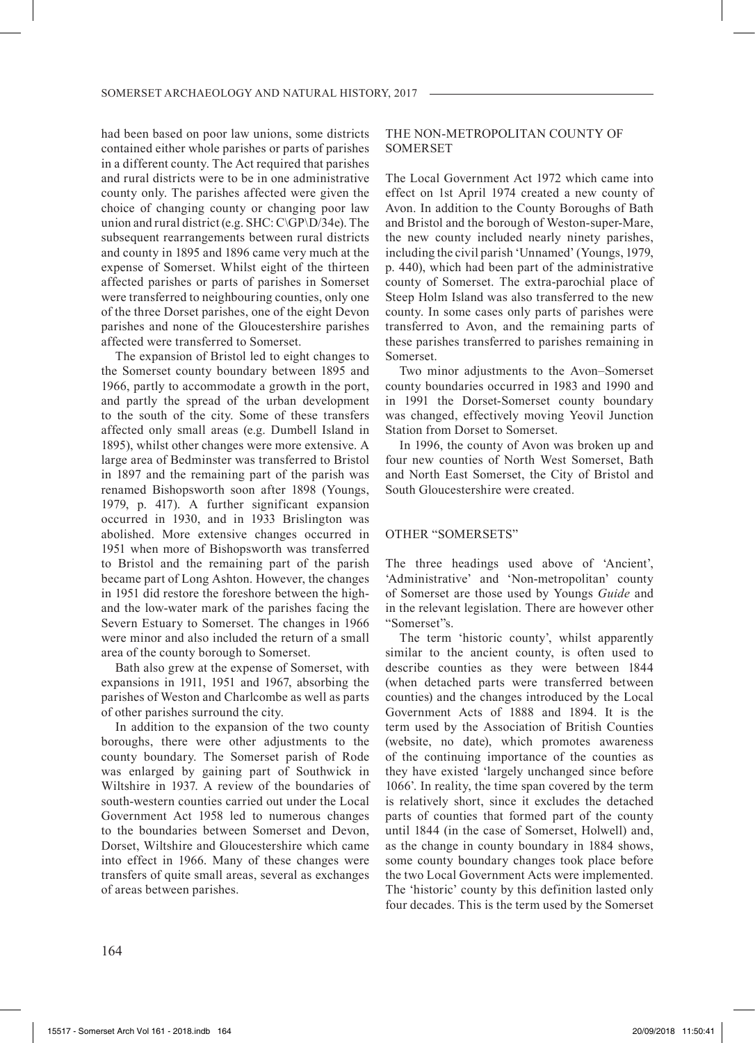had been based on poor law unions, some districts contained either whole parishes or parts of parishes in a different county. The Act required that parishes and rural districts were to be in one administrative county only. The parishes affected were given the choice of changing county or changing poor law union and rural district (e.g. SHC: C\GP\D/34e). The subsequent rearrangements between rural districts and county in 1895 and 1896 came very much at the expense of Somerset. Whilst eight of the thirteen affected parishes or parts of parishes in Somerset were transferred to neighbouring counties, only one of the three Dorset parishes, one of the eight Devon parishes and none of the Gloucestershire parishes affected were transferred to Somerset.

The expansion of Bristol led to eight changes to the Somerset county boundary between 1895 and 1966, partly to accommodate a growth in the port, and partly the spread of the urban development to the south of the city. Some of these transfers affected only small areas (e.g. Dumbell Island in 1895), whilst other changes were more extensive. A large area of Bedminster was transferred to Bristol in 1897 and the remaining part of the parish was renamed Bishopsworth soon after 1898 (Youngs, 1979, p. 417). A further significant expansion occurred in 1930, and in 1933 Brislington was abolished. More extensive changes occurred in 1951 when more of Bishopsworth was transferred to Bristol and the remaining part of the parish became part of Long Ashton. However, the changes in 1951 did restore the foreshore between the highand the low-water mark of the parishes facing the Severn Estuary to Somerset. The changes in 1966 were minor and also included the return of a small area of the county borough to Somerset.

Bath also grew at the expense of Somerset, with expansions in 1911, 1951 and 1967, absorbing the parishes of Weston and Charlcombe as well as parts of other parishes surround the city.

In addition to the expansion of the two county boroughs, there were other adjustments to the county boundary. The Somerset parish of Rode was enlarged by gaining part of Southwick in Wiltshire in 1937. A review of the boundaries of south-western counties carried out under the Local Government Act 1958 led to numerous changes to the boundaries between Somerset and Devon, Dorset, Wiltshire and Gloucestershire which came into effect in 1966. Many of these changes were transfers of quite small areas, several as exchanges of areas between parishes.

## THE NON-METROPOLITAN COUNTY OF **SOMERSET**

The Local Government Act 1972 which came into effect on 1st April 1974 created a new county of Avon. In addition to the County Boroughs of Bath and Bristol and the borough of Weston-super-Mare, the new county included nearly ninety parishes, including the civil parish 'Unnamed' (Youngs, 1979, p. 440), which had been part of the administrative county of Somerset. The extra-parochial place of Steep Holm Island was also transferred to the new county. In some cases only parts of parishes were transferred to Avon, and the remaining parts of these parishes transferred to parishes remaining in Somerset.

Two minor adjustments to the Avon–Somerset county boundaries occurred in 1983 and 1990 and in 1991 the Dorset-Somerset county boundary was changed, effectively moving Yeovil Junction Station from Dorset to Somerset.

In 1996, the county of Avon was broken up and four new counties of North West Somerset, Bath and North East Somerset, the City of Bristol and South Gloucestershire were created.

#### OTHER "SOMERSETS"

The three headings used above of 'Ancient', 'Administrative' and 'Non-metropolitan' county of Somerset are those used by Youngs *Guide* and in the relevant legislation. There are however other "Somerset"s.

The term 'historic county', whilst apparently similar to the ancient county, is often used to describe counties as they were between 1844 (when detached parts were transferred between counties) and the changes introduced by the Local Government Acts of 1888 and 1894. It is the term used by the Association of British Counties (website, no date), which promotes awareness of the continuing importance of the counties as they have existed 'largely unchanged since before 1066'. In reality, the time span covered by the term is relatively short, since it excludes the detached parts of counties that formed part of the county until 1844 (in the case of Somerset, Holwell) and, as the change in county boundary in 1884 shows, some county boundary changes took place before the two Local Government Acts were implemented. The 'historic' county by this definition lasted only four decades. This is the term used by the Somerset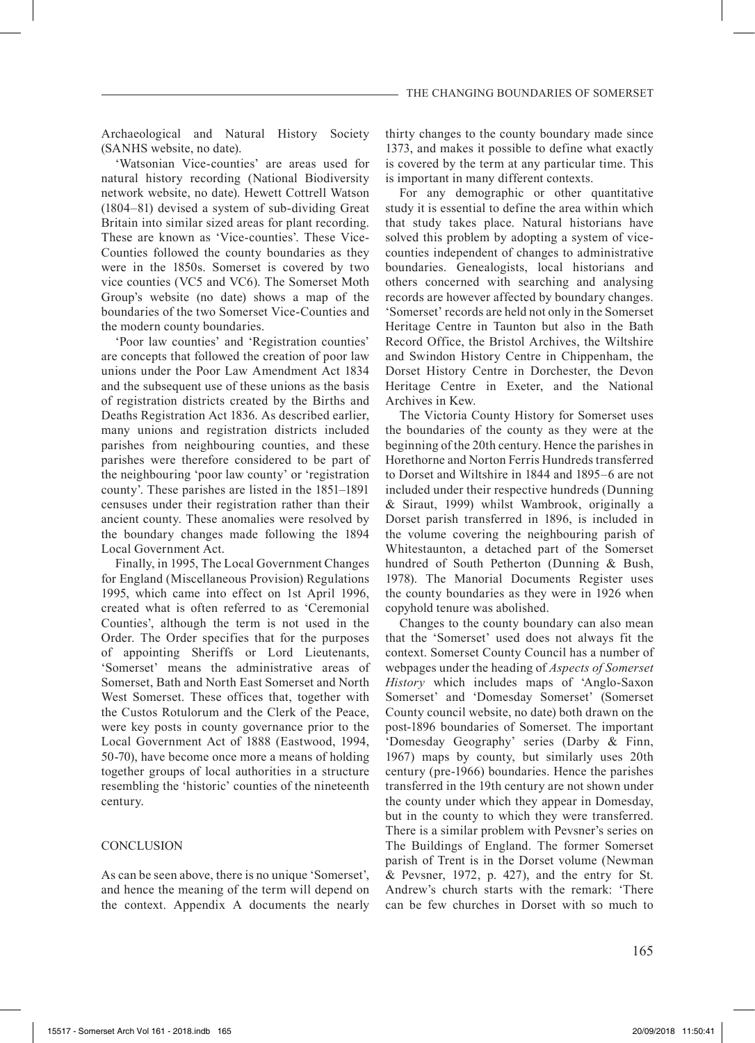Archaeological and Natural History Society (SANHS website, no date).

'Watsonian Vice-counties' are areas used for natural history recording (National Biodiversity network website, no date). Hewett Cottrell Watson (1804–81) devised a system of sub-dividing Great Britain into similar sized areas for plant recording. These are known as 'Vice-counties'. These Vice-Counties followed the county boundaries as they were in the 1850s. Somerset is covered by two vice counties (VC5 and VC6). The Somerset Moth Group's website (no date) shows a map of the boundaries of the two Somerset Vice-Counties and the modern county boundaries.

'Poor law counties' and 'Registration counties' are concepts that followed the creation of poor law unions under the Poor Law Amendment Act 1834 and the subsequent use of these unions as the basis of registration districts created by the Births and Deaths Registration Act 1836. As described earlier, many unions and registration districts included parishes from neighbouring counties, and these parishes were therefore considered to be part of the neighbouring 'poor law county' or 'registration county'. These parishes are listed in the 1851–1891 censuses under their registration rather than their ancient county. These anomalies were resolved by the boundary changes made following the 1894 Local Government Act.

Finally, in 1995, The Local Government Changes for England (Miscellaneous Provision) Regulations 1995, which came into effect on 1st April 1996, created what is often referred to as 'Ceremonial Counties', although the term is not used in the Order. The Order specifies that for the purposes of appointing Sheriffs or Lord Lieutenants, 'Somerset' means the administrative areas of Somerset, Bath and North East Somerset and North West Somerset. These offices that, together with the Custos Rotulorum and the Clerk of the Peace, were key posts in county governance prior to the Local Government Act of 1888 (Eastwood, 1994, 50-70), have become once more a means of holding together groups of local authorities in a structure resembling the 'historic' counties of the nineteenth century.

### **CONCLUSION**

As can be seen above, there is no unique 'Somerset', and hence the meaning of the term will depend on the context. Appendix A documents the nearly thirty changes to the county boundary made since 1373, and makes it possible to define what exactly is covered by the term at any particular time. This is important in many different contexts.

For any demographic or other quantitative study it is essential to define the area within which that study takes place. Natural historians have solved this problem by adopting a system of vicecounties independent of changes to administrative boundaries. Genealogists, local historians and others concerned with searching and analysing records are however affected by boundary changes. 'Somerset' records are held not only in the Somerset Heritage Centre in Taunton but also in the Bath Record Office, the Bristol Archives, the Wiltshire and Swindon History Centre in Chippenham, the Dorset History Centre in Dorchester, the Devon Heritage Centre in Exeter, and the National Archives in Kew.

The Victoria County History for Somerset uses the boundaries of the county as they were at the beginning of the 20th century. Hence the parishes in Horethorne and Norton Ferris Hundreds transferred to Dorset and Wiltshire in 1844 and 1895–6 are not included under their respective hundreds (Dunning & Siraut, 1999) whilst Wambrook, originally a Dorset parish transferred in 1896, is included in the volume covering the neighbouring parish of Whitestaunton, a detached part of the Somerset hundred of South Petherton (Dunning & Bush, 1978). The Manorial Documents Register uses the county boundaries as they were in 1926 when copyhold tenure was abolished.

Changes to the county boundary can also mean that the 'Somerset' used does not always fit the context. Somerset County Council has a number of webpages under the heading of *Aspects of Somerset History* which includes maps of 'Anglo-Saxon Somerset' and 'Domesday Somerset' (Somerset County council website, no date) both drawn on the post-1896 boundaries of Somerset. The important 'Domesday Geography' series (Darby & Finn, 1967) maps by county, but similarly uses 20th century (pre-1966) boundaries. Hence the parishes transferred in the 19th century are not shown under the county under which they appear in Domesday, but in the county to which they were transferred. There is a similar problem with Pevsner's series on The Buildings of England. The former Somerset parish of Trent is in the Dorset volume (Newman  $&$  Pevsner, 1972, p. 427), and the entry for St. Andrew's church starts with the remark: 'There can be few churches in Dorset with so much to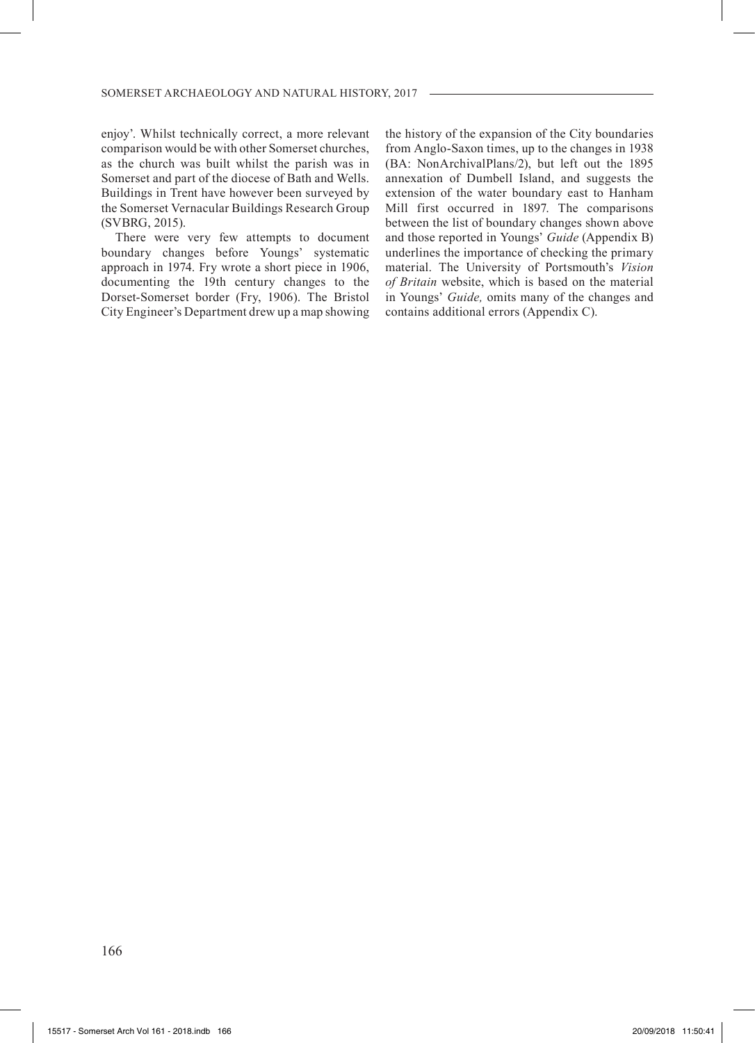enjoy'. Whilst technically correct, a more relevant comparison would be with other Somerset churches, as the church was built whilst the parish was in Somerset and part of the diocese of Bath and Wells. Buildings in Trent have however been surveyed by the Somerset Vernacular Buildings Research Group (SVBRG, 2015).

There were very few attempts to document boundary changes before Youngs' systematic approach in 1974. Fry wrote a short piece in 1906, documenting the 19th century changes to the Dorset-Somerset border (Fry, 1906). The Bristol City Engineer's Department drew up a map showing the history of the expansion of the City boundaries from Anglo-Saxon times, up to the changes in 1938 (BA: NonArchivalPlans/2), but left out the 1895 annexation of Dumbell Island, and suggests the extension of the water boundary east to Hanham Mill first occurred in 1897. The comparisons between the list of boundary changes shown above and those reported in Youngs' *Guide* (Appendix B) underlines the importance of checking the primary material. The University of Portsmouth's *Vision of Britain* website, which is based on the material in Youngs' *Guide,* omits many of the changes and contains additional errors (Appendix C).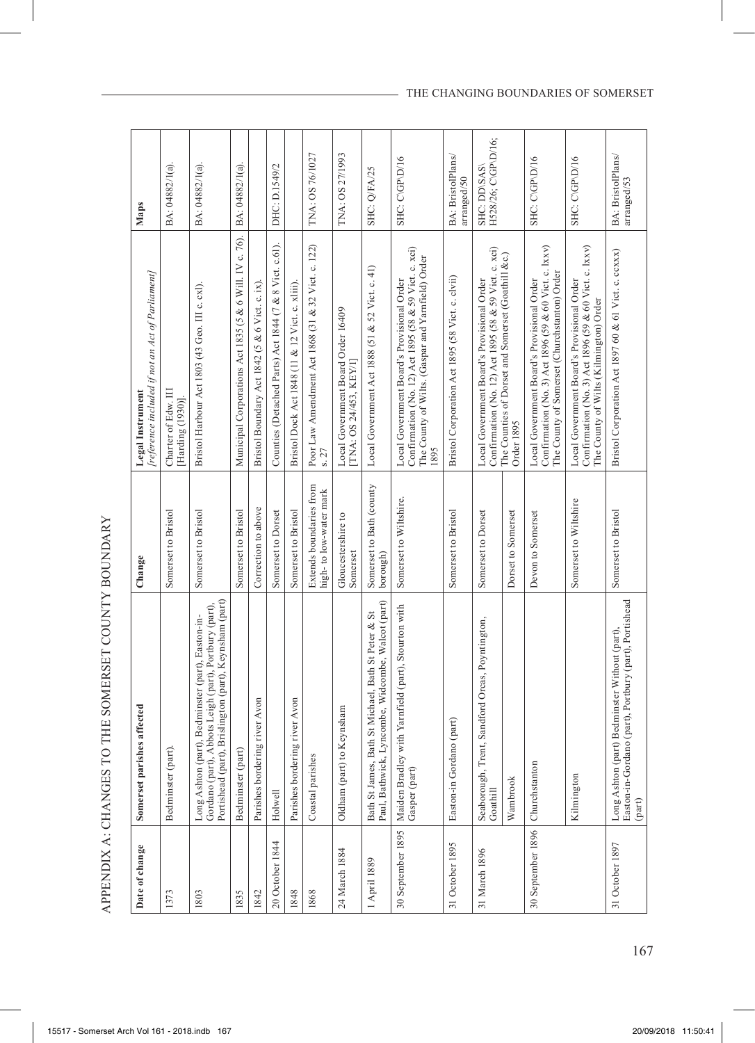| Date of change    | Somerset parishes affected                                                                                                                                              | Change                                             | [reference included if not an Act of Parliament]<br>Legal Instrument                                                                                             | Maps                                       |
|-------------------|-------------------------------------------------------------------------------------------------------------------------------------------------------------------------|----------------------------------------------------|------------------------------------------------------------------------------------------------------------------------------------------------------------------|--------------------------------------------|
| 1373              | Bedminster (part).                                                                                                                                                      | Somerset to Bristol                                | Charter of Edw. III<br>[Harding (1930)]                                                                                                                          | BA: 04882/1(a)                             |
| 1803              | Portishead (part), Brislington (part), Keynsham (part)<br>Gordano (part), Abbots Leigh (part), Portbury (part),<br>(part), Bedminster (part), Easton-in-<br>Long Ashton | Somerset to Bristol                                | Bristol Harbour Act 1803 (43 Geo. III c. cx1).                                                                                                                   | BA: 04882/1(a)                             |
| 1835              | Bedminster (part)                                                                                                                                                       | Somerset to Bristol                                | Municipal Corporations Act 1835 (5 & 6 Will. IV c. 76).                                                                                                          | BA: 04882/1(a).                            |
| 1842              | ering river Avon<br>Parishes bord                                                                                                                                       | Correction to above                                | Bristol Boundary Act 1842 (5 & 6 Vict. c. ix).                                                                                                                   |                                            |
| 20 October 1844   | Holwell                                                                                                                                                                 | Somerset to Dorset                                 | Counties (Detached Parts) Act 1844 (7 & 8 Vict. c.61).                                                                                                           | DHC: D.1549/2                              |
| 1848              | Parishes bordering river Avon                                                                                                                                           | Somerset to Bristol                                | Bristol Dock Act 1848 (11 & 12 Vict. c. xliii)                                                                                                                   |                                            |
| 1868              | Coastal parishes                                                                                                                                                        | Extends boundaries from<br>high- to low-water mark | Poor Law Amendment Act 1868 (31 & 32 Vict. c. 122)<br>s.27                                                                                                       | TNA: OS 76/1027                            |
| 24 March 1884     | to Keynsham<br>Oldham (part)                                                                                                                                            | Gloucestershire to<br>Somerset                     | Local Government Board Order 16409<br>TNA: OS 24/453, KEY/I]                                                                                                     | TNA: OS 27/1993                            |
| 1 April 1889      | Paul, Bathwick, Lyncombe, Widcombe, Walcot (part)<br>, Bath St Michael, Bath St Peter & St<br>Bath St James                                                             | Somerset to Bath (county<br>borough)               | Local Government Act 1888 (51 & 52 Vict. c. 41)                                                                                                                  | SHC: Q/FA/25                               |
| 30 September 1895 | Maiden Bradley with Yarnfield (part), Stourton with<br>Gasper (part)                                                                                                    | Somerset to Wiltshire.                             | Confirmation (No. 12) Act 1895 (58 & 59 Vict. c. xci)<br>The County of Wilts. (Gaspar and Yarnfield) Order<br>Local Government Board's Provisional Order<br>1895 | SHC: C\GP\D/16                             |
| 31 October 1895   | Easton-in Gordano (part)                                                                                                                                                | Somerset to Bristol                                | Bristol Corporation Act 1895 (58 Vict. c. clvii)                                                                                                                 | BA: BristolPlans/<br>arranged/50           |
| 31 March 1896     | Trent, Sandford Orcas, Poyntington,<br>Seaborough,<br>Goathill                                                                                                          | Somerset to Dorset                                 | Confirmation (No. 12) Act 1895 (58 & 59 Vict. c. xci)<br>Local Government Board's Provisional Order                                                              | H528/26; C\GP\D/16;<br><b>SHC: DD\SAS\</b> |
|                   | Wambrook                                                                                                                                                                | Dorset to Somerset                                 | The Counties of Dorset and Somerset (Goathill &c.)<br>Order 1895                                                                                                 |                                            |
| 30 September 1896 | Churchstantor                                                                                                                                                           | Devon to Somerset                                  | Confirmation (No. 3) Act 1896 (59 & 60 Vict. c. lxxv)<br>The County of Somerset (Churchstanton) Order<br>Local Government Board's Provisional Order              | SHC: C\GP\D/16                             |
|                   | Kilmington                                                                                                                                                              | Somerset to Wiltshire                              | Confirmation (No. 3) Act 1896 (59 & 60 Vict. c. lxxv)<br>Local Government Board's Provisional Order<br>The County of Wilts (Kilmington) Order                    | SHC: C\GP\D/16                             |
| 31 October 1897   | Easton-in-Gordano (part), Portbury (part), Portishead<br>(part) Bedminster Without (part),<br>Long Ashton<br>(part)                                                     | Somerset to Bristol                                | Bristol Corporation Act 1897 60 & 61 Vict. c. ccxxx)                                                                                                             | BA: BristolPlans/<br>arranged/53           |

APPENDIX A: CHANGES TO THE SOMERSET COUNTY BOUNDARY APPENDIX A: CHANGES TO THE SOMERSET COUNTY BOUNDARY

# - THE CHANGING BOUNDARIES OF SOMERSET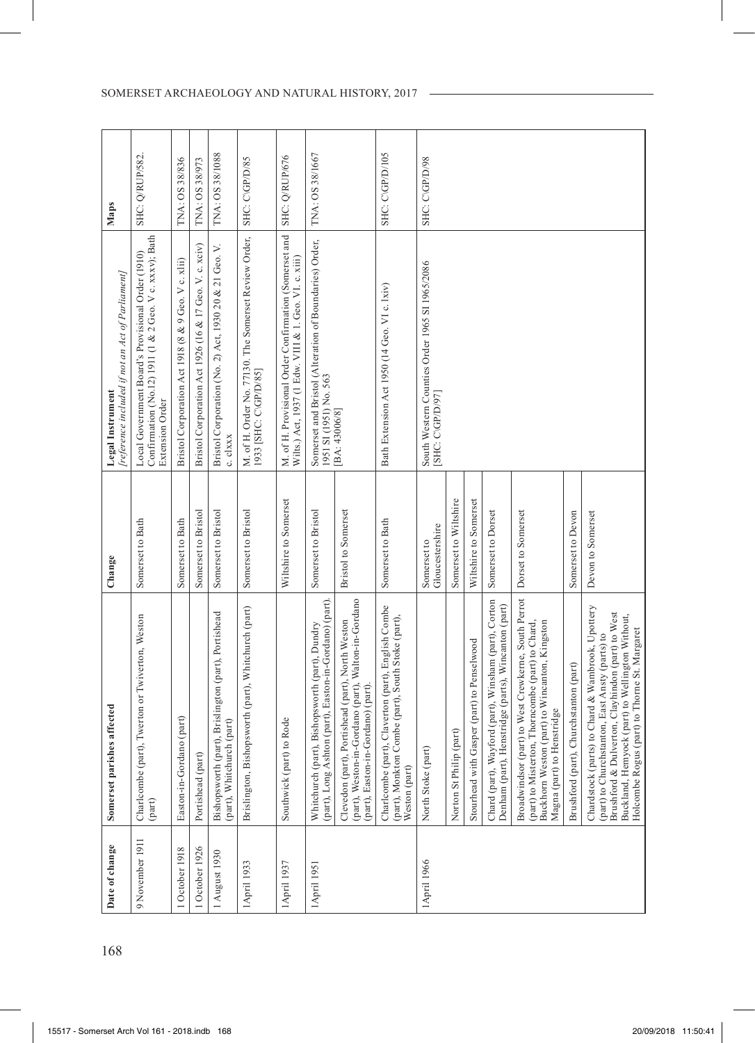| Date of change  | ishes affected<br>Somerset par                                                                                                                                                                                                                            | Change                         | [reference included if not an Act of Parliament]<br>Legal Instrument                                                           | Maps                   |
|-----------------|-----------------------------------------------------------------------------------------------------------------------------------------------------------------------------------------------------------------------------------------------------------|--------------------------------|--------------------------------------------------------------------------------------------------------------------------------|------------------------|
| 9 November 1911 | Charlcombe (part), Twerton or Twiverton, Weston<br>(part)                                                                                                                                                                                                 | Somerset to Bath               | Confirmation (No.12) 1911 (1 & 2 Geo. V c. xxxv); Bath<br>Local Government Board's Provisional Order (1910)<br>Extension Order | SHC: Q/RUP/582         |
| 1 October 1918  | Easton-in-Gordano (part)                                                                                                                                                                                                                                  | Somerset to Bath               | Bristol Corporation Act 1918 (8 & 9 Geo. V c. xlii)                                                                            | TNA: OS 38/836         |
| October 1926    | Portishead (part)                                                                                                                                                                                                                                         | Somerset to Bristol            | Bristol Corporation Act 1926 (16 & 17 Geo. V. c. xciv)                                                                         | TNA: OS 38/973         |
| 1 August 1930   | (part), Brislington (part), Portishead<br>(part), Whitehurch (part)<br>Bishopsworth                                                                                                                                                                       | Somerset to Bristol            | Bristol Corporation (No. 2) Act, 1930 20 & 21 Geo. V.<br>c. clxxx                                                              | <b>TNA: OS 38/1088</b> |
| 1 April 1933    | Brislington, Bishopsworth (part), Whitehurch (part)                                                                                                                                                                                                       | Somerset to Bristol            | M. of H. Order No. 77130. The Somerset Review Order,<br>1933 [SHC: C\GP/D/85]                                                  | SHC: C\GP/D/85         |
| 1 April 1937    | Southwick (part) to Rode                                                                                                                                                                                                                                  | Wiltshire to Somerset          | M. of H. Provisional Order Confirmation (Somerset and Wilts.) Act, 1937 (1 Edw. VIII & 1. Geo. VI. c. xiii)                    | SHC: Q/RUP/676         |
| 1 April 1951    | (part), Long Ashton (part), Easton-in-Gordano) (part).<br>Whitchurch (part), Bishopsworth (part), Dundry                                                                                                                                                  | Somerset to Bristol            | Somerset and Bristol (Alteration of Boundaries) Order,<br>1951 SI (1951) No. 563                                               | TNA: OS 38/1667        |
|                 | (part), Weston-in-Gordano (part), Walton-in-Gordano<br>Clevedon (part), Portishead (part), North Weston<br>(part), Easton-in-Gordano) (part).                                                                                                             | <b>Bristol</b> to Somerset     | [BA: 43006/8]                                                                                                                  |                        |
|                 | part), Claverton (part), English Combe<br>(part), Monkton Combe (part), South Stoke (part),<br>Charlcombe (p<br>Weston (part)                                                                                                                             | Somerset to Bath               | Bath Extension Act 1950 (14 Geo. VI c. Ixiv)                                                                                   | SHC: C\GP/D/105        |
| 1 April 1966    | North Stoke (part)                                                                                                                                                                                                                                        | Gloucestershire<br>Somerset to | South Western Counties Order 1965 SI 1965/2086<br>[SHC: C\GP/D/97]                                                             | SHC: C\GP/D/98         |
|                 | lip (part)<br>Norton St Phil                                                                                                                                                                                                                              | Somerset to Wiltshire          |                                                                                                                                |                        |
|                 | Stourhead with Gasper (part) to Penselwood                                                                                                                                                                                                                | Wiltshire to Somerset          |                                                                                                                                |                        |
|                 | Wayford (part), Winsham (part), Corton<br>), Henstridge (parts), Wincanton (part)<br>Denham (part)<br>Chard (part),                                                                                                                                       | Somerset to Dorset             |                                                                                                                                |                        |
|                 | Broadwindsor (part) to West Crewkerne, South Perrot<br>Buckhorn Weston (part) to Wincanton, Kingston<br>(part) to Misterton, Thorncombe (part) to Chard,<br>Magna (part) to Henstridge                                                                    | Dorset to Somerset             |                                                                                                                                |                        |
|                 | Brushford (part), Churchstanton (part)                                                                                                                                                                                                                    | Somerset to Devon              |                                                                                                                                |                        |
|                 | Chardstock (parts) to Chard & Wambrook, Upottery<br>Brushford & Dulverton, Clayhindon (part) to West<br>Buckland, Hemyock (part) to Wellington Without,<br>Holcombe Rogus (part) to Thorne St. Margaret<br>(part) to Churchstanton, East Ansty (parts) to | Devon to Somerset              |                                                                                                                                |                        |

# SOMERSET ARCHAEOLOGY AND NATURAL HISTORY, 2017

 $\overline{\phantom{a}}$ 

168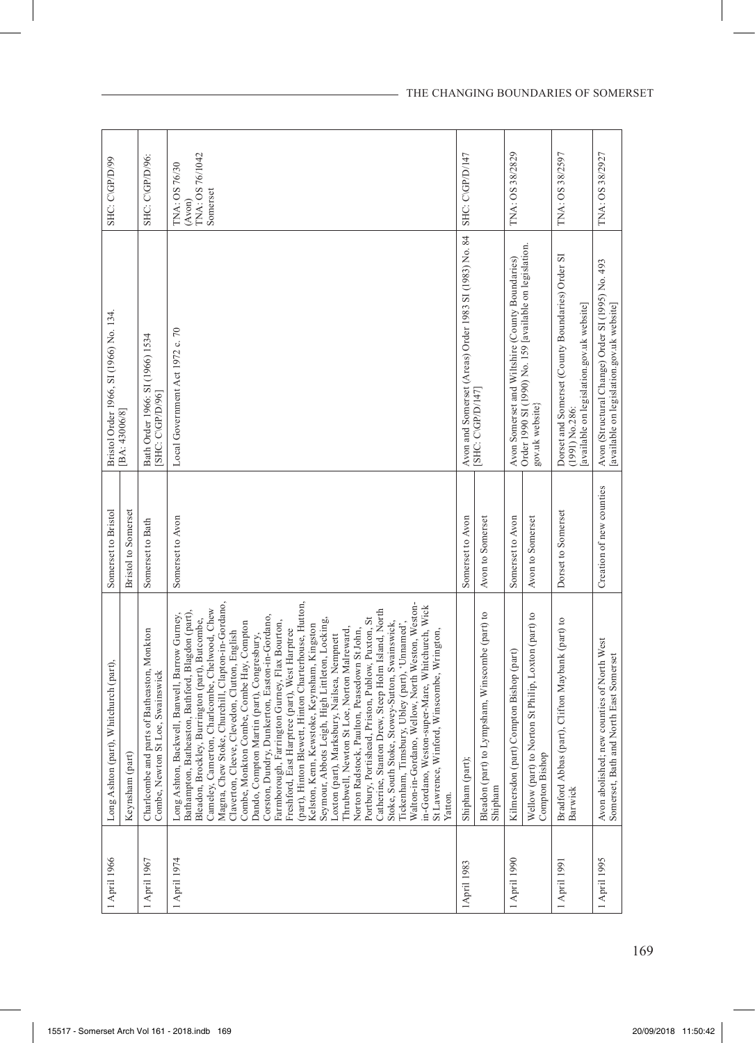| SHC: C\GP/D/99                                         |                            | SHC: C\GP/D/96:                                                                 | TNA: OS 76/1042<br>TNA: OS 76/30<br>Somerset<br>(Avon)                                                                                                                                                                                                                                                                                                                                                                                                                                                                                                                                                                                                                                                                                                                                                                                                                                                                                                                                                                                                                                                                                                                                                                                                     | SHC: C\GP/D/147                                                            |                                                                 | TNA: OS 38/2829                                 |                                                                                     | TNA: OS 38/2597                                                                                                  | TNA: OS 38/2927                                                                               |
|--------------------------------------------------------|----------------------------|---------------------------------------------------------------------------------|------------------------------------------------------------------------------------------------------------------------------------------------------------------------------------------------------------------------------------------------------------------------------------------------------------------------------------------------------------------------------------------------------------------------------------------------------------------------------------------------------------------------------------------------------------------------------------------------------------------------------------------------------------------------------------------------------------------------------------------------------------------------------------------------------------------------------------------------------------------------------------------------------------------------------------------------------------------------------------------------------------------------------------------------------------------------------------------------------------------------------------------------------------------------------------------------------------------------------------------------------------|----------------------------------------------------------------------------|-----------------------------------------------------------------|-------------------------------------------------|-------------------------------------------------------------------------------------|------------------------------------------------------------------------------------------------------------------|-----------------------------------------------------------------------------------------------|
| Bristol Order 1966, SI (1966) No. 134<br>[BA: 43006/8] |                            | Bath Order 1966: SI (1966) 1534<br>[SHC: C\GP/D/96]                             | Local Government Act 1972 c. 70                                                                                                                                                                                                                                                                                                                                                                                                                                                                                                                                                                                                                                                                                                                                                                                                                                                                                                                                                                                                                                                                                                                                                                                                                            | Avon and Somerset (Areas) Order 1983 SI (1983) No. 84<br>[SHC: C\GP\D\147] |                                                                 | Avon Somerset and Wiltshire (County Boundaries) | Order 1990 SI (1990) No. 159 [available on legislation<br>gov.uk website}           | Dorset and Somerset (County Boundaries) Order SI<br>available on legislation gov.uk website]<br>$(1991)$ No.286: | Avon (Structural Change) Order SI (1995) No. 493<br>[available on legislation.gov.uk website] |
| Somerset to Bristol                                    | <b>Bristol</b> to Somerset | Somerset to Bath                                                                | Somerset to Avon                                                                                                                                                                                                                                                                                                                                                                                                                                                                                                                                                                                                                                                                                                                                                                                                                                                                                                                                                                                                                                                                                                                                                                                                                                           | Somerset to Avon                                                           | Avon to Somerset                                                | Somerset to Avon                                | Avon to Somerset                                                                    | Dorset to Somerset                                                                                               | Creation of new counties                                                                      |
| part), Whitchurch (part),<br>Long Ashton (             | Keynsham (part)            | Charlcombe and parts of Batheaston, Monkton<br>Combe, Newton St Loe, Swainswick | (part), Hinton Blewett, Hinton Charterhouse, Hutton,<br>Magna, Chew Stoke, Churchill, Clapton-in-Gordano,<br>Walton-in-Gordano, Wellow, North Weston, Weston-<br>in-Gordano, Weston-super-Mare, Whitchurch, Wick<br>Cameley, Camerton, Charlcombe, Chelwood, Chew<br>Portbury, Portishead, Priston, Publow, Puxton, St<br>Catherine, Stanton Drew, Steep Holm Island, North<br>Stoke, South Stoke, Stowey-Sutton, Swainswick,<br>Bathampton, Batheaston, Bathford, Blagdon (part),<br>Backwell, Banwell, Barrow Gurney,<br>Corston, Dundry, Dunkerton, Easton-in-Gordano,<br>Bleadon, Brockley, Burrington (part), Butcombe,<br>Seymour, Abbots Leigh, High Littleton, Locking,<br>Farrington Gurney, Flax Bourton,<br>Combe, Monkton Combe, Combe Hay, Compton<br>Tickenham, Timsbury, Ubley (part), 'Unnamed',<br>Kelston, Kenn, Kewstoke, Keynsham, Kingston<br>Freshford, East Harptree (part), West Harptree<br>Thrubwell, Newton St Loe, Norton Malreward,<br>Norton Radstock, Paulton, Peasedown St John,<br>Claverton, Cleeve, Clevedon, Clutton, English<br>St Lawrence, Winford, Winscombe, Wrington,<br>Dando, Compton Martin (part), Congresbury,<br>Marksbury, Nailsea, Nempnett<br>Farmborough,<br>Loxton (part),<br>Long Ashton,<br>Yatton. | Shipham (part)                                                             | to Lympsham, Winscombe (part) to<br>Bleadon (part) t<br>Shipham | Kilmersdon (part) Compton Bishop (part)         | to Norton St Philip, Loxton (part) to<br><b>do</b><br>Compton Bish<br>Wellow (part) | Bradford Abbas (part), Clifton Maybank (part) to Barwick                                                         | Avon abolished; new counties of North West<br>Somerset, Bath and North East Somerset          |
| 1 April 1966                                           |                            | 1 April 1967                                                                    | 1 April 1974                                                                                                                                                                                                                                                                                                                                                                                                                                                                                                                                                                                                                                                                                                                                                                                                                                                                                                                                                                                                                                                                                                                                                                                                                                               | 1 April 1983                                                               |                                                                 | 1 April 1990                                    |                                                                                     | 1 April 1991                                                                                                     | 1 April 1995                                                                                  |

 $\overline{\phantom{a}}$ 

169

 $\mathbb{I}$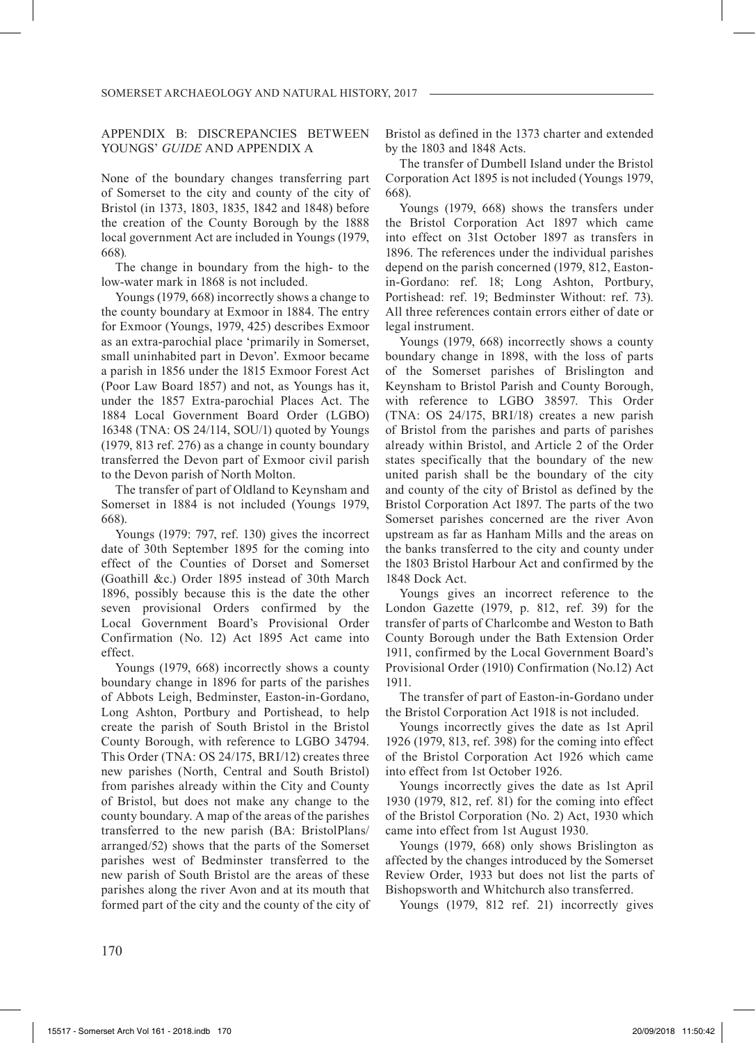# APPENDIX B: DISCREPANCIES BETWEEN YOUNGS' *GUIDE* AND APPENDIX A

None of the boundary changes transferring part of Somerset to the city and county of the city of Bristol (in 1373, 1803, 1835, 1842 and 1848) before the creation of the County Borough by the 1888 local government Act are included in Youngs (1979, 668)*.*

The change in boundary from the high- to the low-water mark in 1868 is not included.

Youngs (1979, 668) incorrectly shows a change to the county boundary at Exmoor in 1884. The entry for Exmoor (Youngs, 1979, 425) describes Exmoor as an extra-parochial place 'primarily in Somerset, small uninhabited part in Devon'. Exmoor became a parish in 1856 under the 1815 Exmoor Forest Act (Poor Law Board 1857) and not, as Youngs has it, under the 1857 Extra-parochial Places Act. The 1884 Local Government Board Order (LGBO) 16348 (TNA: OS 24/114, SOU/1) quoted by Youngs (1979, 813 ref. 276) as a change in county boundary transferred the Devon part of Exmoor civil parish to the Devon parish of North Molton.

The transfer of part of Oldland to Keynsham and Somerset in 1884 is not included (Youngs 1979, 668).

Youngs (1979: 797, ref. 130) gives the incorrect date of 30th September 1895 for the coming into effect of the Counties of Dorset and Somerset (Goathill &c.) Order 1895 instead of 30th March 1896, possibly because this is the date the other seven provisional Orders confirmed by the Local Government Board's Provisional Order Confirmation (No. 12) Act 1895 Act came into effect.

Youngs (1979, 668) incorrectly shows a county boundary change in 1896 for parts of the parishes of Abbots Leigh, Bedminster, Easton-in-Gordano, Long Ashton, Portbury and Portishead, to help create the parish of South Bristol in the Bristol County Borough, with reference to LGBO 34794. This Order (TNA: OS 24/175, BRI/12) creates three new parishes (North, Central and South Bristol) from parishes already within the City and County of Bristol, but does not make any change to the county boundary. A map of the areas of the parishes transferred to the new parish (BA: BristolPlans/ arranged/52) shows that the parts of the Somerset parishes west of Bedminster transferred to the new parish of South Bristol are the areas of these parishes along the river Avon and at its mouth that formed part of the city and the county of the city of Bristol as defined in the 1373 charter and extended by the 1803 and 1848 Acts.

The transfer of Dumbell Island under the Bristol Corporation Act 1895 is not included (Youngs 1979, 668).

Youngs (1979, 668) shows the transfers under the Bristol Corporation Act 1897 which came into effect on 31st October 1897 as transfers in 1896. The references under the individual parishes depend on the parish concerned (1979, 812, Eastonin-Gordano: ref. 18; Long Ashton, Portbury, Portishead: ref. 19; Bedminster Without: ref. 73). All three references contain errors either of date or legal instrument.

Youngs (1979, 668) incorrectly shows a county boundary change in 1898, with the loss of parts of the Somerset parishes of Brislington and Keynsham to Bristol Parish and County Borough, with reference to LGBO 38597. This Order (TNA: OS 24/175, BRI/18) creates a new parish of Bristol from the parishes and parts of parishes already within Bristol, and Article 2 of the Order states specifically that the boundary of the new united parish shall be the boundary of the city and county of the city of Bristol as defined by the Bristol Corporation Act 1897. The parts of the two Somerset parishes concerned are the river Avon upstream as far as Hanham Mills and the areas on the banks transferred to the city and county under the 1803 Bristol Harbour Act and confirmed by the 1848 Dock Act.

Youngs gives an incorrect reference to the London Gazette (1979, p. 812, ref. 39) for the transfer of parts of Charlcombe and Weston to Bath County Borough under the Bath Extension Order 1911, confirmed by the Local Government Board's Provisional Order (1910) Confirmation (No.12) Act 1911.

The transfer of part of Easton-in-Gordano under the Bristol Corporation Act 1918 is not included.

Youngs incorrectly gives the date as 1st April 1926 (1979, 813, ref. 398) for the coming into effect of the Bristol Corporation Act 1926 which came into effect from 1st October 1926.

Youngs incorrectly gives the date as 1st April 1930 (1979, 812, ref. 81) for the coming into effect of the Bristol Corporation (No. 2) Act, 1930 which came into effect from 1st August 1930.

Youngs (1979, 668) only shows Brislington as affected by the changes introduced by the Somerset Review Order, 1933 but does not list the parts of Bishopsworth and Whitchurch also transferred.

Youngs (1979, 812 ref. 21) incorrectly gives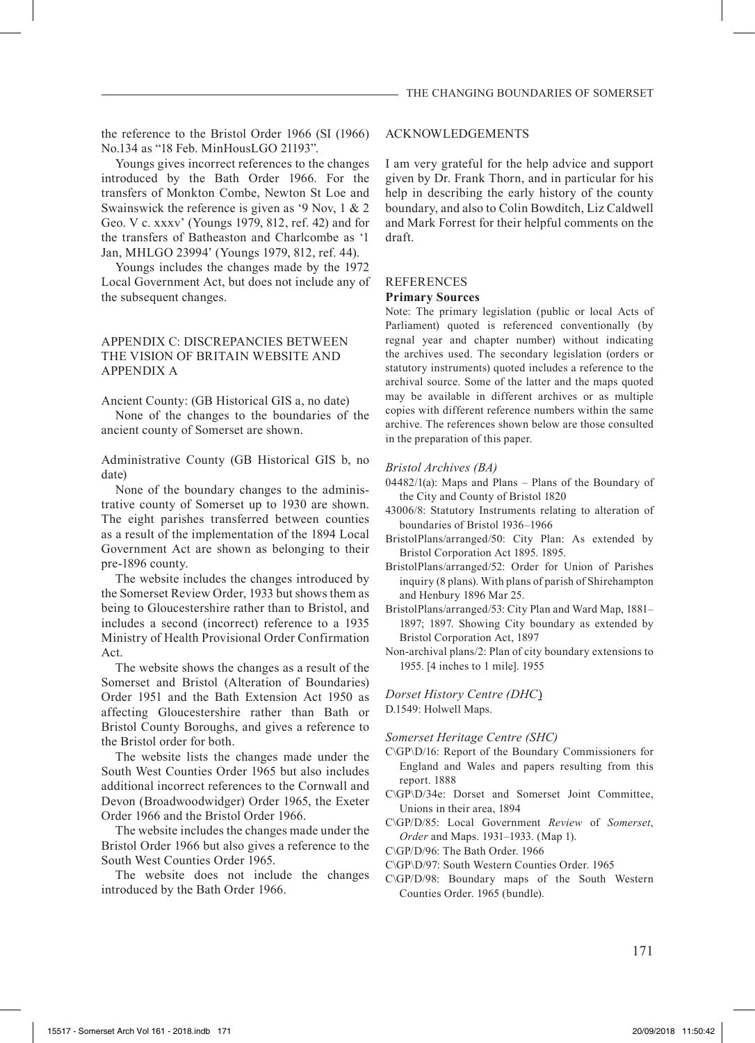the reference to the Bristol Order 1966 (SI (1966) No.134 as "18 Feb. MinHousLGO 21193".

Youngs gives incorrect references to the changes introduced by the Bath Order 1966. For the transfers of Monkton Combe, Newton St Loe and Swainswick the reference is given as '9 Nov, 1 & 2 Geo. V c. xxxv' (Youngs 1979, 812, ref. 42) and for the transfers of Batheaston and Charlcombe as '1 Jan, MHLGO 23994' (Youngs 1979, 812, ref. 44).

Youngs includes the changes made by the 1972 Local Government Act, but does not include any of the subsequent changes.

# APPENDIX C: DISCREPANCIES BETWEEN THE VISION OF BRITAIN WEBSITE AND APPENDIX A

Ancient County: (GB Historical GIS a, no date)

None of the changes to the boundaries of the ancient county of Somerset are shown.

Administrative County (GB Historical GIS b, no date)

None of the boundary changes to the administrative county of Somerset up to 1930 are shown. The eight parishes transferred between counties as a result of the implementation of the 1894 Local Government Act are shown as belonging to their pre-1896 county.

The website includes the changes introduced by the Somerset Review Order, 1933 but shows them as being to Gloucestershire rather than to Bristol, and includes a second (incorrect) reference to a 1935 Ministry of Health Provisional Order Confirmation Act.

The website shows the changes as a result of the Somerset and Bristol (Alteration of Boundaries) Order 1951 and the Bath Extension Act 1950 as affecting Gloucestershire rather than Bath or Bristol County Boroughs, and gives a reference to the Bristol order for both.

The website lists the changes made under the South West Counties Order 1965 but also includes additional incorrect references to the Cornwall and Devon (Broadwoodwidger) Order 1965, the Exeter Order 1966 and the Bristol Order 1966.

The website includes the changes made under the Bristol Order 1966 but also gives a reference to the South West Counties Order 1965.

The website does not include the changes introduced by the Bath Order 1966.

# ACKNOWLEDGEMENTS

I am very grateful for the help advice and support given by Dr. Frank Thorn, and in particular for his help in describing the early history of the county boundary, and also to Colin Bowditch, Liz Caldwell and Mark Forrest for their helpful comments on the draft.

#### REFERENCES

# **Primary Sources**

Note: The primary legislation (public or local Acts of Parliament) quoted is referenced conventionally (by regnal year and chapter number) without indicating the archives used. The secondary legislation (orders or statutory instruments) quoted includes a reference to the archival source. Some of the latter and the maps quoted may be available in different archives or as multiple copies with different reference numbers within the same archive. The references shown below are those consulted in the preparation of this paper.

#### *Bristol Archives (BA)*

- 04482/1(a): Maps and Plans Plans of the Boundary of the City and County of Bristol 1820
- 43006/8: Statutory Instruments relating to alteration of boundaries of Bristol 1936–1966
- BristolPlans/arranged/50: City Plan: As extended by Bristol Corporation Act 1895. 1895.
- BristolPlans/arranged/52: Order for Union of Parishes inquiry (8 plans). With plans of parish of Shirehampton and Henbury 1896 Mar 25.
- BristolPlans/arranged/53: City Plan and Ward Map, 1881– 1897; 1897. Showing City boundary as extended by Bristol Corporation Act, 1897
- Non-archival plans/2: Plan of city boundary extensions to 1955. [4 inches to 1 mile]. 1955

*Dorset History Centre (DHC*) D.1549: Holwell Maps.

*Somerset Heritage Centre (SHC)*

- C\GP\D/16: Report of the Boundary Commissioners for England and Wales and papers resulting from this report. 1888
- C\GP\D/34e: Dorset and Somerset Joint Committee, Unions in their area, 1894
- C\GP/D/85: Local Government *Review* of *Somerset*, *Order* and Maps. 1931–1933. (Map 1).

C\GP/D/96: The Bath Order. 1966

- C\GP\D/97: South Western Counties Order. 1965
- C\GP/D/98: Boundary maps of the South Western Counties Order. 1965 (bundle).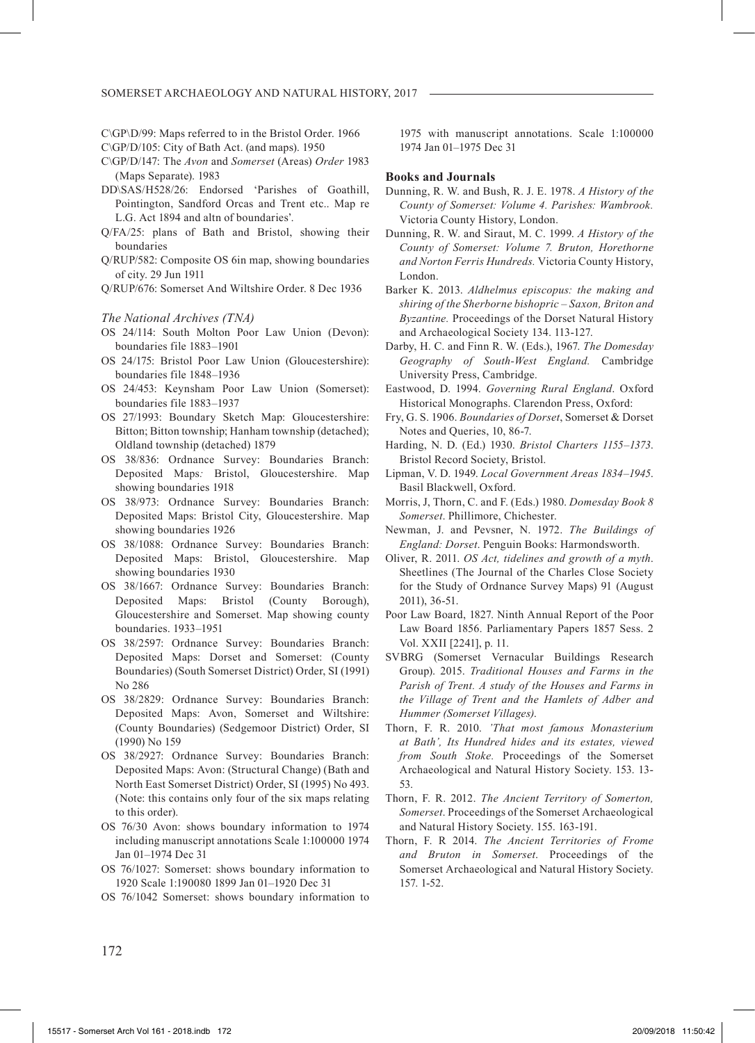C\GP\D/99: Maps referred to in the Bristol Order. 1966

C\GP/D/105: City of Bath Act. (and maps). 1950

C\GP/D/147: The *Avon* and *Somerset* (Areas) *Order* 1983 (Maps Separate). 1983

- DD\SAS/H528/26: Endorsed 'Parishes of Goathill, Pointington, Sandford Orcas and Trent etc.. Map re L.G. Act 1894 and altn of boundaries'.
- Q/FA/25: plans of Bath and Bristol, showing their boundaries
- Q/RUP/582: Composite OS 6in map, showing boundaries of city. 29 Jun 1911
- Q/RUP/676: Somerset And Wiltshire Order. 8 Dec 1936

#### *The National Archives (TNA)*

- OS 24/114: South Molton Poor Law Union (Devon): boundaries file 1883–1901
- OS 24/175: Bristol Poor Law Union (Gloucestershire): boundaries file 1848–1936
- OS 24/453: Keynsham Poor Law Union (Somerset): boundaries file 1883–1937
- OS 27/1993: Boundary Sketch Map: Gloucestershire: Bitton; Bitton township; Hanham township (detached); Oldland township (detached) 1879
- OS 38/836: Ordnance Survey: Boundaries Branch: Deposited Maps*:* Bristol, Gloucestershire. Map showing boundaries 1918
- OS 38/973: Ordnance Survey: Boundaries Branch: Deposited Maps: Bristol City, Gloucestershire. Map showing boundaries 1926
- OS 38/1088: Ordnance Survey: Boundaries Branch: Deposited Maps: Bristol, Gloucestershire. Map showing boundaries 1930
- OS 38/1667: Ordnance Survey: Boundaries Branch: Deposited Maps: Bristol (County Borough), Gloucestershire and Somerset. Map showing county boundaries. 1933–1951
- OS 38/2597: Ordnance Survey: Boundaries Branch: Deposited Maps: Dorset and Somerset: (County Boundaries) (South Somerset District) Order, SI (1991) No 286
- OS 38/2829: Ordnance Survey: Boundaries Branch: Deposited Maps: Avon, Somerset and Wiltshire: (County Boundaries) (Sedgemoor District) Order, SI (1990) No 159
- OS 38/2927: Ordnance Survey: Boundaries Branch: Deposited Maps: Avon: (Structural Change) (Bath and North East Somerset District) Order, SI (1995) No 493. (Note: this contains only four of the six maps relating to this order).
- OS 76/30 Avon: shows boundary information to 1974 including manuscript annotations Scale 1:100000 1974 Jan 01–1974 Dec 31
- OS 76/1027: Somerset: shows boundary information to 1920 Scale 1:190080 1899 Jan 01–1920 Dec 31
- OS 76/1042 Somerset: shows boundary information to

1975 with manuscript annotations. Scale 1:100000 1974 Jan 01–1975 Dec 31

#### **Books and Journals**

- Dunning, R. W. and Bush, R. J. E. 1978. *A History of the County of Somerset: Volume 4. Parishes: Wambrook.*  Victoria County History, London.
- Dunning, R. W. and Siraut, M. C. 1999. *A History of the County of Somerset: Volume 7. Bruton, Horethorne and Norton Ferris Hundreds.* Victoria County History, London.
- Barker K. 2013. *Aldhelmus episcopus: the making and shiring of the Sherborne bishopric – Saxon, Briton and Byzantine.* Proceedings of the Dorset Natural History and Archaeological Society 134. 113-127.
- Darby, H. C. and Finn R. W. (Eds.), 1967. *The Domesday Geography of South-West England.* Cambridge University Press, Cambridge.
- Eastwood, D. 1994. *Governing Rural England*. Oxford Historical Monographs. Clarendon Press, Oxford:
- Fry, G. S. 1906. *Boundaries of Dorset*, Somerset & Dorset Notes and Queries, 10, 86-7.
- Harding, N. D. (Ed.) 1930. *Bristol Charters 1155–1373*. Bristol Record Society, Bristol.
- Lipman, V. D. 1949. *Local Government Areas 1834–1945*. Basil Blackwell, Oxford.
- Morris, J, Thorn, C. and F. (Eds.) 1980. *Domesday Book 8 Somerset*. Phillimore, Chichester.
- Newman, J. and Pevsner, N. 1972. *The Buildings of England: Dorset*. Penguin Books: Harmondsworth.
- Oliver, R. 2011. *OS Act, tidelines and growth of a myth*. Sheetlines (The Journal of the Charles Close Society for the Study of Ordnance Survey Maps) 91 (August 2011), 36-51.
- Poor Law Board, 1827. Ninth Annual Report of the Poor Law Board 1856. Parliamentary Papers 1857 Sess. 2 Vol. XXII [2241], p. 11.
- SVBRG (Somerset Vernacular Buildings Research Group). 2015. *Traditional Houses and Farms in the Parish of Trent. A study of the Houses and Farms in the Village of Trent and the Hamlets of Adber and Hummer (Somerset Villages)*.
- Thorn, F. R. 2010. *'That most famous Monasterium at Bath', Its Hundred hides and its estates, viewed from South Stoke.* Proceedings of the Somerset Archaeological and Natural History Society. 153. 13- 53.
- Thorn, F. R. 2012. *The Ancient Territory of Somerton, Somerset*. Proceedings of the Somerset Archaeological and Natural History Society. 155. 163-191.
- Thorn, F. R 2014. *The Ancient Territories of Frome and Bruton in Somerset*. Proceedings of the Somerset Archaeological and Natural History Society. 157. 1-52.